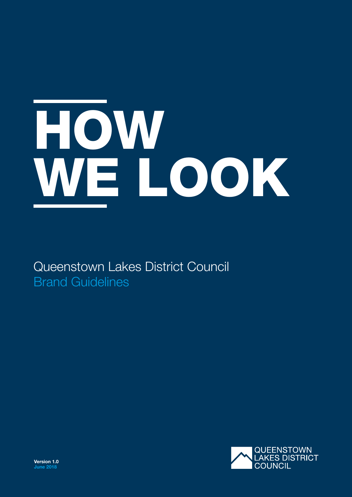# HOW WE LOOK

Queenstown Lakes District Council Brand Guidelines

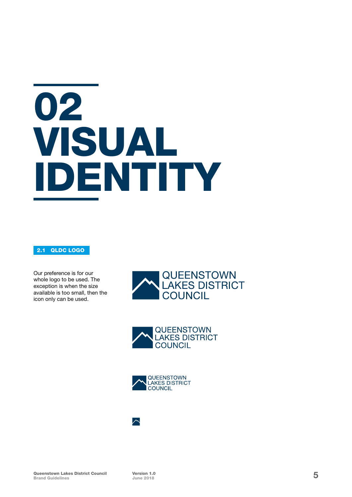# 02 VISUAL IDENTITY

### 2.1 QLDC LOGO

Our preference is for our whole logo to be used. The exception is when the size available is too small, then the icon only can be used.







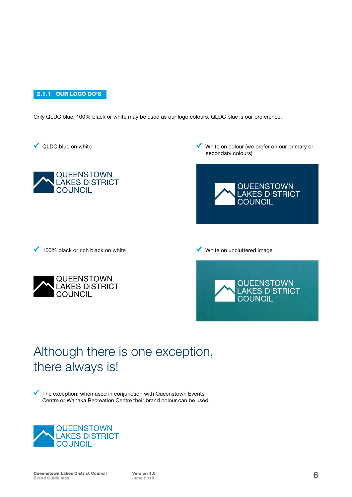2.1.1 OUR LOGO DO'S

Only QLDC blue, 100% black or white may be used as our logo colours. QLDC blue is our preference.

◆ QLDC blue on white



White on colour (we prefer on our primary or secondary colours)



 $\sqrt{100\%}$  black or rich black on white



White on uncluttered image



### Although there is one exception, there always is!

 $\checkmark$  The exception: when used in conjunction with Queenstown Events Centre or Wanaka Recreation Centre their brand colour can be used.

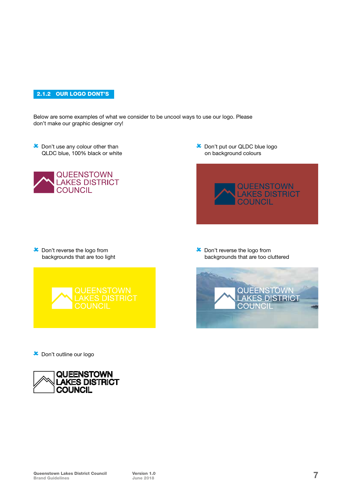#### 2.1.2 OUR LOGO DONT'S

Below are some examples of what we consider to be uncool ways to use our logo. Please don't make our graphic designer cry!

**x** Don't use any colour other than QLDC blue, 100% black or white



 Don't put our QLDC blue logo on background colours



**x** Don't reverse the logo from backgrounds that are too light



 Don't reverse the logo from backgrounds that are too cluttered



Don't outline our logo

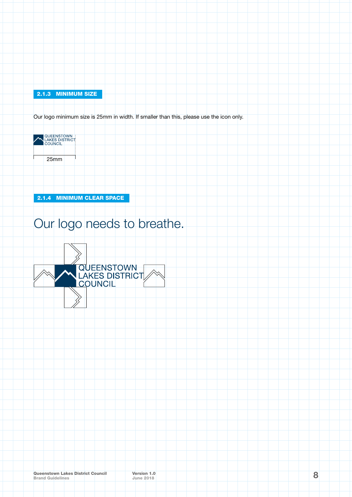#### 2.1.3 MINIMUM SIZE

Our logo minimum size is 25mm in width. If smaller than this, please use the icon only.



2.1.4 MINIMUM CLEAR SPACE

## Our logo needs to breathe.

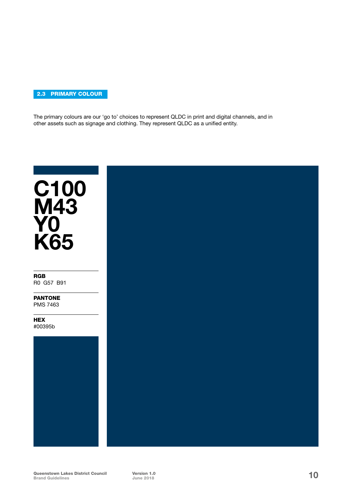#### 2.3 PRIMARY COLOUR

The primary colours are our 'go to' choices to represent QLDC in print and digital channels, and in other assets such as signage and clothing. They represent QLDC as a unified entity.

## C100 **M43 YO** K65

RGB R0 G57 B91

PANTONE PMS 7463

**HEX** #00395b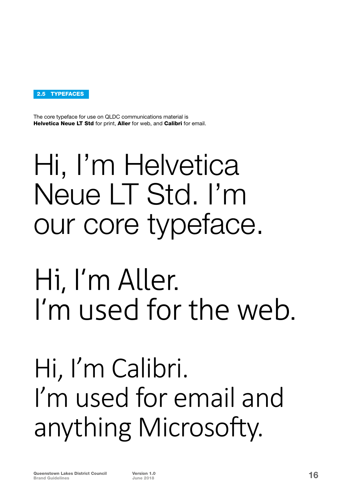

The core typeface for use on QLDC communications material is Helvetica Neue LT Std for print, Aller for web, and Calibri for email.

# Hi, I'm Helvetica Neue LT Std. I'm our core typeface.

## Hi, I'm Aller. I'm used for the web.

## Hi, I'm Calibri. I'm used for email and anything Microsofty.